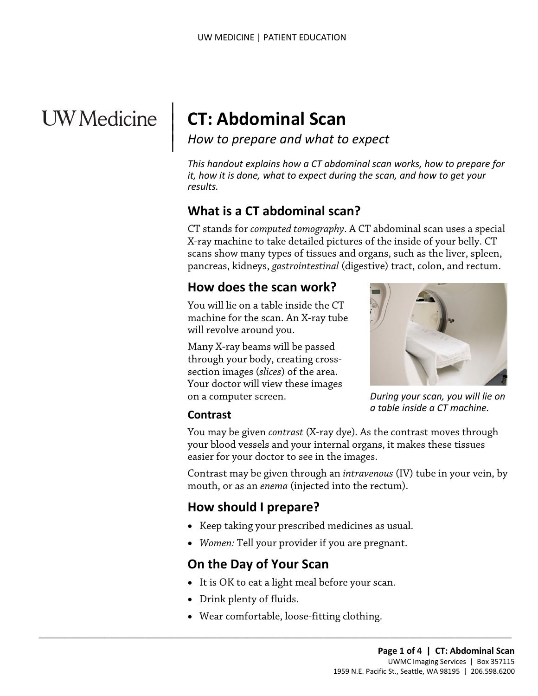# **UW** Medicine

 $\parallel$  $\vert$  $\vert$ 

# **CT: Abdominal Scan**

*How to prepare and what to expect*

*This handout explains how a CT abdominal scan works, how to prepare for it, how it is done, what to expect during the scan, and how to get your results.*

# **What is a CT abdominal scan?**

X-ray machine to take detailed pictures of the inside of your bel<br>scans show many types of tissues and organs, such as the liver,<br>pancreas, kidneys, *gastrointestinal* (digestive) tract, colon, and re<br>**How does the scan wo** CT stands for *computed tomography*. A CT abdominal scan uses a special X-ray machine to take detailed pictures of the inside of your belly. CT scans show many types of tissues and organs, such as the liver, spleen, pancreas, kidneys, *gastrointestinal* (digestive) tract, colon, and rectum.

#### **How does the scan work?**

You will lie on a table inside the CT machine for the scan. An X-ray tube will revolve around you.

Many X-ray beams will be passed through your body, creating crosssection images (*slices*) of the area. Your doctor will view these images on a computer screen.



*During your scan, you will lie on a table inside a CT machine.*

#### **Contrast**

You may be given *contrast* (X-ray dye)*.* As the contrast moves through your blood vessels and your internal organs, it makes these tissues easier for your doctor to see in the images.

Contrast may be given through an *intravenous* (IV) tube in your vein, by mouth, or as an *enema* (injected into the rectum).

# **How should I prepare?**

- Keep taking your prescribed medicines as usual.
- *Women:* Tell your provider if you are pregnant.

# **On the Day of Your Scan**

- It is OK to eat a light meal before your scan.
- Drink plenty of fluids.
- Wear comfortable, loose-fitting clothing.

 $\_$  ,  $\_$  ,  $\_$  ,  $\_$  ,  $\_$  ,  $\_$  ,  $\_$  ,  $\_$  ,  $\_$  ,  $\_$  ,  $\_$  ,  $\_$  ,  $\_$  ,  $\_$  ,  $\_$  ,  $\_$  ,  $\_$  ,  $\_$  ,  $\_$  ,  $\_$  ,  $\_$  ,  $\_$  ,  $\_$  ,  $\_$  ,  $\_$  ,  $\_$  ,  $\_$  ,  $\_$  ,  $\_$  ,  $\_$  ,  $\_$  ,  $\_$  ,  $\_$  ,  $\_$  ,  $\_$  ,  $\_$  ,  $\_$  ,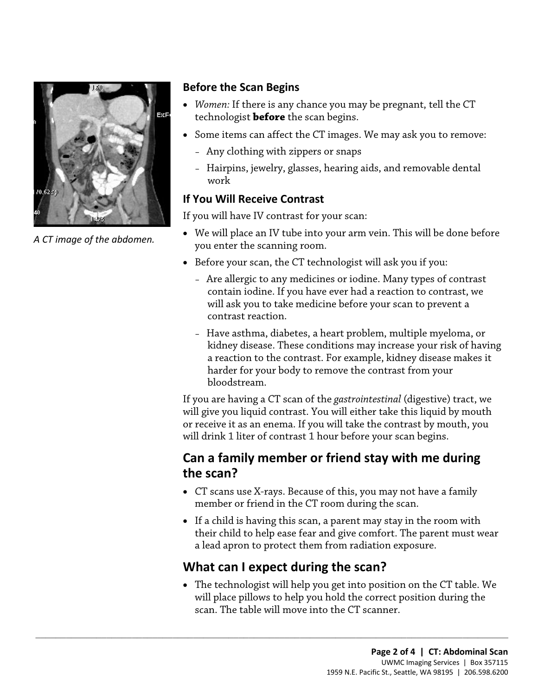

*A CT image of the abdomen.* 

#### **Before the Scan Begins**

- *Women:* If there is any chance you may be pregnant, tell the CT technologist **before** the scan begins.
- Some items can affect the CT images. We may ask you to remove:
	- Any clothing with zippers or snaps
	- Hairpins, jewelry, glasses, hearing aids, and removable dental work

#### **If You Will Receive Contrast**

If you will have IV contrast for your scan:

- We will place an IV tube into your arm vein. This will be done before you enter the scanning room.
- Before your scan, the CT technologist will ask you if you:
- Before your scan, the CT technologist will ask you if you:<br>
 Are allergic to any medicines or iodine. Many types of contras<br>
contain iodine. If you have ever had a reaction to contrast, we<br>
will ask you to take medicine – Are allergic to any medicines or iodine. Many types of contrast contain iodine. If you have ever had a reaction to contrast, we will ask you to take medicine before your scan to prevent a contrast reaction.
	- Have asthma, diabetes, a heart problem, multiple myeloma, or kidney disease. These conditions may increase your risk of having a reaction to the contrast. For example, kidney disease makes it harder for your body to remove the contrast from your bloodstream.

If you are having a CT scan of the *gastrointestinal* (digestive) tract, we will give you liquid contrast. You will either take this liquid by mouth or receive it as an enema. If you will take the contrast by mouth, you will drink 1 liter of contrast 1 hour before your scan begins.

## **Can a family member or friend stay with me during the scan?**

- CT scans use X-rays. Because of this, you may not have a family member or friend in the CT room during the scan.
- If a child is having this scan, a parent may stay in the room with their child to help ease fear and give comfort. The parent must wear a lead apron to protect them from radiation exposure.

## **What can I expect during the scan?**

 $\_$  ,  $\_$  ,  $\_$  ,  $\_$  ,  $\_$  ,  $\_$  ,  $\_$  ,  $\_$  ,  $\_$  ,  $\_$  ,  $\_$  ,  $\_$  ,  $\_$  ,  $\_$  ,  $\_$  ,  $\_$  ,  $\_$  ,  $\_$  ,  $\_$  ,  $\_$  ,  $\_$  ,  $\_$  ,  $\_$  ,  $\_$  ,  $\_$  ,  $\_$  ,  $\_$  ,  $\_$  ,  $\_$  ,  $\_$  ,  $\_$  ,  $\_$  ,  $\_$  ,  $\_$  ,  $\_$  ,  $\_$  ,  $\_$  ,

• The technologist will help you get into position on the CT table. We will place pillows to help you hold the correct position during the scan. The table will move into the CT scanner.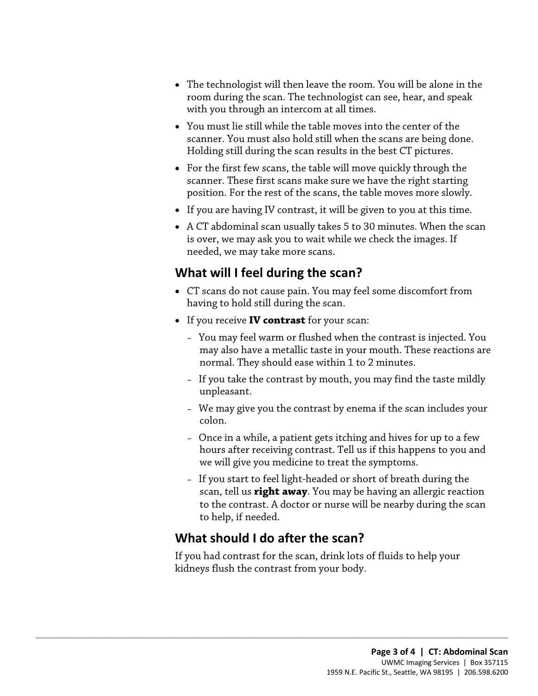- The technologist will then leave the room. You will be alone in the room during the scan. The technologist can see, hear, and speak with you through an intercom at all times.
- You must lie still while the table moves into the center of the scanner. You must also hold still when the scans are being done. Holding still during the scan results in the best CT pictures.
- For the first few scans, the table will move quickly through the scanner. These first scans make sure we have the right starting position. For the rest of the scans, the table moves more slowly.
- If you are having IV contrast, it will be given to you at this time.
- A CT abdominal scan usually takes 5 to 30 minutes. When the scan is over, we may ask you to wait while we check the images. If needed, we may take more scans.

# **What will I feel during the scan?**

- CT scans do not cause pain. You may feel some discomfort from having to hold still during the scan.
- If you receive **IV contrast** for your scan:
- meeded, we may take more scans.<br> **What will I feel during the scan?**<br>
 CT scans do not cause pain. You may feel some discomfort from<br>
having to hold still during the scan.<br>
 If you receive **IV contrast** for your scan:<br>
 – You may feel warm or flushed when the contrast is injected. You may also have a metallic taste in your mouth. These reactions are normal. They should ease within 1 to 2 minutes.
	- If you take the contrast by mouth, you may find the taste mildly unpleasant.
	- We may give you the contrast by enema if the scan includes your colon.
	- Once in a while, a patient gets itching and hives for up to a few hours after receiving contrast. Tell us if this happens to you and we will give you medicine to treat the symptoms.
	- If you start to feel light-headed or short of breath during the scan, tell us **right away**. You may be having an allergic reaction to the contrast. A doctor or nurse will be nearby during the scan to help, if needed.

# **What should I do after the scan?**

 $\_$  ,  $\_$  ,  $\_$  ,  $\_$  ,  $\_$  ,  $\_$  ,  $\_$  ,  $\_$  ,  $\_$  ,  $\_$  ,  $\_$  ,  $\_$  ,  $\_$  ,  $\_$  ,  $\_$  ,  $\_$  ,  $\_$  ,  $\_$  ,  $\_$  ,  $\_$  ,  $\_$  ,  $\_$  ,  $\_$  ,  $\_$  ,  $\_$  ,  $\_$  ,  $\_$  ,  $\_$  ,  $\_$  ,  $\_$  ,  $\_$  ,  $\_$  ,  $\_$  ,  $\_$  ,  $\_$  ,  $\_$  ,  $\_$  ,

If you had contrast for the scan, drink lots of fluids to help your kidneys flush the contrast from your body.